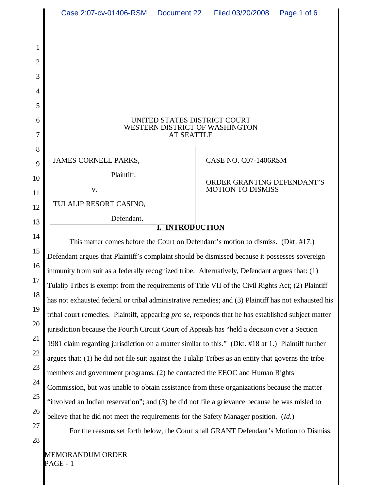|                | Case 2:07-cv-01406-RSM                                                                                                                                                             | Document 22 | Filed 03/20/2008                                       | Page 1 of 6 |
|----------------|------------------------------------------------------------------------------------------------------------------------------------------------------------------------------------|-------------|--------------------------------------------------------|-------------|
|                |                                                                                                                                                                                    |             |                                                        |             |
| 1              |                                                                                                                                                                                    |             |                                                        |             |
| $\overline{2}$ |                                                                                                                                                                                    |             |                                                        |             |
| 3              |                                                                                                                                                                                    |             |                                                        |             |
| 4              |                                                                                                                                                                                    |             |                                                        |             |
| 5              |                                                                                                                                                                                    |             |                                                        |             |
| 6              | UNITED STATES DISTRICT COURT<br>WESTERN DISTRICT OF WASHINGTON                                                                                                                     |             |                                                        |             |
| 7              | <b>AT SEATTLE</b>                                                                                                                                                                  |             |                                                        |             |
| 8<br>9         | <b>JAMES CORNELL PARKS,</b>                                                                                                                                                        |             | CASE NO. C07-1406RSM                                   |             |
| 10             | Plaintiff,                                                                                                                                                                         |             |                                                        |             |
| 11             | $\mathbf{V}$ .                                                                                                                                                                     |             | ORDER GRANTING DEFENDANT'S<br><b>MOTION TO DISMISS</b> |             |
| 12             | TULALIP RESORT CASINO,                                                                                                                                                             |             |                                                        |             |
| 13             | Defendant.                                                                                                                                                                         |             |                                                        |             |
| 14             | <b>INTRODUCTION</b>                                                                                                                                                                |             |                                                        |             |
| 15             | This matter comes before the Court on Defendant's motion to dismiss. (Dkt. #17.)<br>Defendant argues that Plaintiff's complaint should be dismissed because it possesses sovereign |             |                                                        |             |
| 16             | immunity from suit as a federally recognized tribe. Alternatively, Defendant argues that: (1)                                                                                      |             |                                                        |             |
| 17             | Tulalip Tribes is exempt from the requirements of Title VII of the Civil Rights Act; (2) Plaintiff                                                                                 |             |                                                        |             |
| 18             | has not exhausted federal or tribal administrative remedies; and (3) Plaintiff has not exhausted his                                                                               |             |                                                        |             |
| 19             | tribal court remedies. Plaintiff, appearing <i>pro se</i> , responds that he has established subject matter                                                                        |             |                                                        |             |
| 20             | jurisdiction because the Fourth Circuit Court of Appeals has "held a decision over a Section                                                                                       |             |                                                        |             |
| 21             | 1981 claim regarding jurisdiction on a matter similar to this." (Dkt. #18 at 1.) Plaintiff further                                                                                 |             |                                                        |             |
| 22             | argues that: (1) he did not file suit against the Tulalip Tribes as an entity that governs the tribe                                                                               |             |                                                        |             |
| 23             | members and government programs; (2) he contacted the EEOC and Human Rights                                                                                                        |             |                                                        |             |
| 24             | Commission, but was unable to obtain assistance from these organizations because the matter                                                                                        |             |                                                        |             |
| 25<br>26       | "involved an Indian reservation"; and (3) he did not file a grievance because he was misled to                                                                                     |             |                                                        |             |
| 27             | believe that he did not meet the requirements for the Safety Manager position. (Id.)                                                                                               |             |                                                        |             |
| 28             | For the reasons set forth below, the Court shall GRANT Defendant's Motion to Dismiss.                                                                                              |             |                                                        |             |
|                |                                                                                                                                                                                    |             |                                                        |             |

MEMORANDUM ORDER PAGE - 1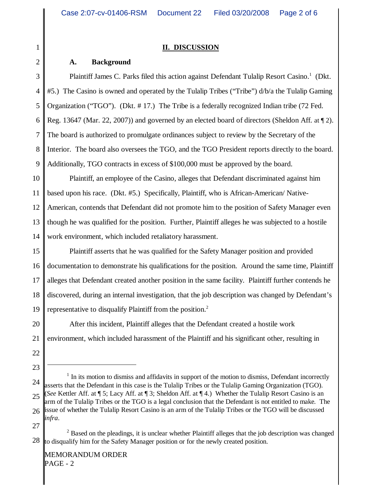#### **II. DISCUSSION**

#### **A. Background**

4 5 6 7 8 9 Plaintiff James C. Parks filed this action against Defendant Tulalip Resort Casino.<sup>1</sup> (Dkt. #5.) The Casino is owned and operated by the Tulalip Tribes ("Tribe") d/b/a the Tulalip Gaming Organization ("TGO"). (Dkt. # 17.) The Tribe is a federally recognized Indian tribe (72 Fed. Reg. 13647 (Mar. 22, 2007)) and governed by an elected board of directors (Sheldon Aff. at ¶ 2). The board is authorized to promulgate ordinances subject to review by the Secretary of the Interior. The board also oversees the TGO, and the TGO President reports directly to the board. Additionally, TGO contracts in excess of \$100,000 must be approved by the board.

10 11 12 13 14 Plaintiff, an employee of the Casino, alleges that Defendant discriminated against him based upon his race. (Dkt. #5.) Specifically, Plaintiff, who is African-American/ Native-American, contends that Defendant did not promote him to the position of Safety Manager even though he was qualified for the position. Further, Plaintiff alleges he was subjected to a hostile work environment, which included retaliatory harassment.

15 16 17 18 19 Plaintiff asserts that he was qualified for the Safety Manager position and provided documentation to demonstrate his qualifications for the position. Around the same time, Plaintiff alleges that Defendant created another position in the same facility. Plaintiff further contends he discovered, during an internal investigation, that the job description was changed by Defendant's representative to disqualify Plaintiff from the position.<sup>2</sup>

20 21 After this incident, Plaintiff alleges that the Defendant created a hostile work environment, which included harassment of the Plaintiff and his significant other, resulting in

22

23

- 24 25 26  $<sup>1</sup>$  In its motion to dismiss and affidavits in support of the motion to dismiss, Defendant incorrectly</sup> asserts that the Defendant in this case is the Tulalip Tribes or the Tulalip Gaming Organization (TGO). (*See* Kettler Aff. at ¶ 5; Lacy Aff. at ¶ 3; Sheldon Aff. at ¶ 4.) Whether the Tulalip Resort Casino is an arm of the Tulalip Tribes or the TGO is a legal conclusion that the Defendant is not entitled to make. The issue of whether the Tulalip Resort Casino is an arm of the Tulalip Tribes or the TGO will be discussed *infra*.
- 27

<sup>28</sup>  $2^2$  Based on the pleadings, it is unclear whether Plaintiff alleges that the job description was changed to disqualify him for the Safety Manager position or for the newly created position.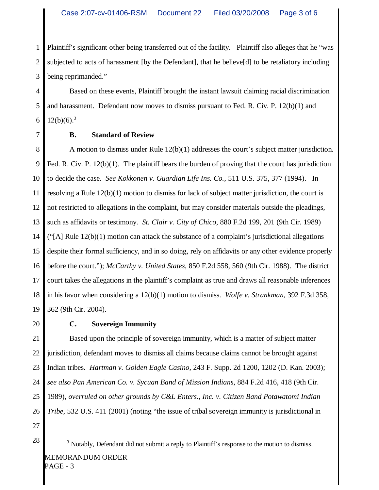1 2 3 Plaintiff's significant other being transferred out of the facility. Plaintiff also alleges that he "was subjected to acts of harassment [by the Defendant], that he believe[d] to be retaliatory including being reprimanded."

4 5 6 Based on these events, Plaintiff brought the instant lawsuit claiming racial discrimination and harassment. Defendant now moves to dismiss pursuant to Fed. R. Civ. P. 12(b)(1) and  $12(b)(6).^{3}$ 

7

### **B. Standard of Review**

8 9 10 11 12 13 14 15 16 17 18 19 A motion to dismiss under Rule 12(b)(1) addresses the court's subject matter jurisdiction. Fed. R. Civ. P.  $12(b)(1)$ . The plaintiff bears the burden of proving that the court has jurisdiction to decide the case. *See Kokkonen v. Guardian Life Ins. Co.*, 511 U.S. 375, 377 (1994). In resolving a Rule 12(b)(1) motion to dismiss for lack of subject matter jurisdiction, the court is not restricted to allegations in the complaint, but may consider materials outside the pleadings, such as affidavits or testimony. *St. Clair v. City of Chico*, 880 F.2d 199, 201 (9th Cir. 1989)  $\text{``[A] Rule 12(b)(1)}$  motion can attack the substance of a complaint's jurisdictional allegations despite their formal sufficiency, and in so doing, rely on affidavits or any other evidence properly before the court."); *McCarthy v. United States*, 850 F.2d 558, 560 (9th Cir. 1988). The district court takes the allegations in the plaintiff's complaint as true and draws all reasonable inferences in his favor when considering a 12(b)(1) motion to dismiss. *Wolfe v. Strankman*, 392 F.3d 358, 362 (9th Cir. 2004).

20

# **C. Sovereign Immunity**

21 22 23 24 25 26 Based upon the principle of sovereign immunity, which is a matter of subject matter jurisdiction, defendant moves to dismiss all claims because claims cannot be brought against Indian tribes. *Hartman v. Golden Eagle Casino*, 243 F. Supp. 2d 1200, 1202 (D. Kan. 2003); *see also Pan American Co. v. Sycuan Band of Mission Indians*, 884 F.2d 416, 418 (9th Cir. 1989), *overruled on other grounds by C&L Enters., Inc. v. Citizen Band Potawatomi Indian Tribe*, 532 U.S. 411 (2001) (noting "the issue of tribal sovereign immunity is jurisdictional in

27

 $\begin{array}{c|c} 28 & \text{3 Notably, Defendant did not submit a reply to Plaintiff's response to the motion to dismiss.} \end{array}$ MEMORANDUM ORDER PAGE - 3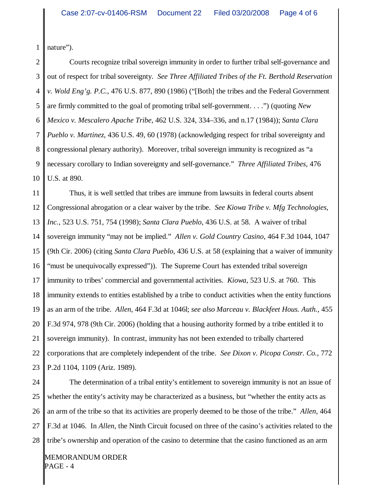1 nature").

2 3 4 5 6 7 8 9 10 Courts recognize tribal sovereign immunity in order to further tribal self-governance and out of respect for tribal sovereignty. *See Three Affiliated Tribes of the Ft. Berthold Reservation v. Wold Eng'g. P.C.*, 476 U.S. 877, 890 (1986) ("[Both] the tribes and the Federal Government are firmly committed to the goal of promoting tribal self-government. . . .") (quoting *New Mexico v. Mescalero Apache Tribe*, 462 U.S. 324, 334–336, and n.17 (1984)); *Santa Clara Pueblo v. Martinez*, 436 U.S. 49, 60 (1978) (acknowledging respect for tribal sovereignty and congressional plenary authority). Moreover, tribal sovereign immunity is recognized as "a necessary corollary to Indian sovereignty and self-governance." *Three Affiliated Tribes*, 476 U.S. at 890.

11 12 13 14 15 16 17 18 19 20 21 22 23 Thus, it is well settled that tribes are immune from lawsuits in federal courts absent Congressional abrogation or a clear waiver by the tribe. *See Kiowa Tribe v. Mfg Technologies, Inc.*, 523 U.S. 751, 754 (1998); *Santa Clara Pueblo*, 436 U.S. at 58. A waiver of tribal sovereign immunity "may not be implied." *Allen v. Gold Country Casino*, 464 F.3d 1044, 1047 (9th Cir. 2006) (citing *Santa Clara Pueblo*, 436 U.S. at 58 (explaining that a waiver of immunity "must be unequivocally expressed")). The Supreme Court has extended tribal sovereign immunity to tribes' commercial and governmental activities. *Kiowa*, 523 U.S. at 760. This immunity extends to entities established by a tribe to conduct activities when the entity functions as an arm of the tribe. *Allen*, 464 F.3d at 1046l; *see also Marceau v. Blackfeet Hous. Auth.*, 455 F.3d 974, 978 (9th Cir. 2006) (holding that a housing authority formed by a tribe entitled it to sovereign immunity). In contrast, immunity has not been extended to tribally chartered corporations that are completely independent of the tribe. *See Dixon v. Picopa Constr. Co.*, 772 P.2d 1104, 1109 (Ariz. 1989).

24 25 26 27 28 The determination of a tribal entity's entitlement to sovereign immunity is not an issue of whether the entity's activity may be characterized as a business, but "whether the entity acts as an arm of the tribe so that its activities are properly deemed to be those of the tribe." *Allen*, 464 F.3d at 1046. In *Allen*, the Ninth Circuit focused on three of the casino's activities related to the tribe's ownership and operation of the casino to determine that the casino functioned as an arm

MEMORANDUM ORDER PAGE - 4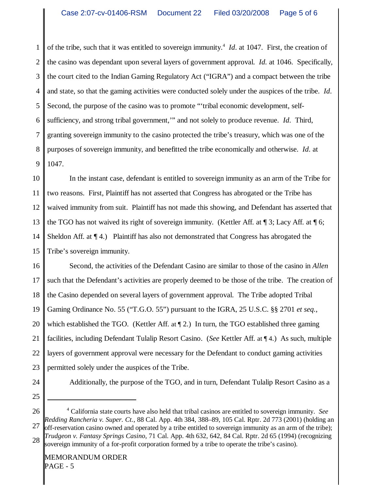1 2 3 4 5 6 7 8 9 of the tribe, such that it was entitled to sovereign immunity.<sup>4</sup> *Id*. at 1047. First, the creation of the casino was dependant upon several layers of government approval. *Id.* at 1046. Specifically, the court cited to the Indian Gaming Regulatory Act ("IGRA") and a compact between the tribe and state, so that the gaming activities were conducted solely under the auspices of the tribe. *Id*. Second, the purpose of the casino was to promote "'tribal economic development, selfsufficiency, and strong tribal government,'" and not solely to produce revenue. *Id*. Third, granting sovereign immunity to the casino protected the tribe's treasury, which was one of the purposes of sovereign immunity, and benefitted the tribe economically and otherwise. *Id*. at 1047.

10 11 12 13 14 15 In the instant case, defendant is entitled to sovereign immunity as an arm of the Tribe for two reasons. First, Plaintiff has not asserted that Congress has abrogated or the Tribe has waived immunity from suit. Plaintiff has not made this showing, and Defendant has asserted that the TGO has not waived its right of sovereign immunity. (Kettler Aff. at ¶ 3; Lacy Aff. at ¶ 6; Sheldon Aff. at ¶ 4.) Plaintiff has also not demonstrated that Congress has abrogated the Tribe's sovereign immunity.

16 17 18 19 20 21 22 23 Second, the activities of the Defendant Casino are similar to those of the casino in *Allen* such that the Defendant's activities are properly deemed to be those of the tribe. The creation of the Casino depended on several layers of government approval. The Tribe adopted Tribal Gaming Ordinance No. 55 ("T.G.O. 55") pursuant to the IGRA, 25 U.S.C. §§ 2701 *et seq.*, which established the TGO. (Kettler Aff. at  $\P$  2.) In turn, the TGO established three gaming facilities, including Defendant Tulalip Resort Casino. (*See* Kettler Aff. at ¶ 4.) As such, multiple layers of government approval were necessary for the Defendant to conduct gaming activities permitted solely under the auspices of the Tribe.

24

Additionally, the purpose of the TGO, and in turn, Defendant Tulalip Resort Casino as a

25

26 27 28 4 California state courts have also held that tribal casinos are entitled to sovereign immunity. *See Redding Rancheria v. Super. Ct.*, 88 Cal. App. 4th 384, 388–89, 105 Cal. Rptr. 2d 773 (2001) (holding an off-reservation casino owned and operated by a tribe entitled to sovereign immunity as an arm of the tribe); *Trudgeon v. Fantasy Springs Casino*, 71 Cal. App. 4th 632, 642, 84 Cal. Rptr. 2d 65 (1994) (recognizing sovereign immunity of a for-profit corporation formed by a tribe to operate the tribe's casino).